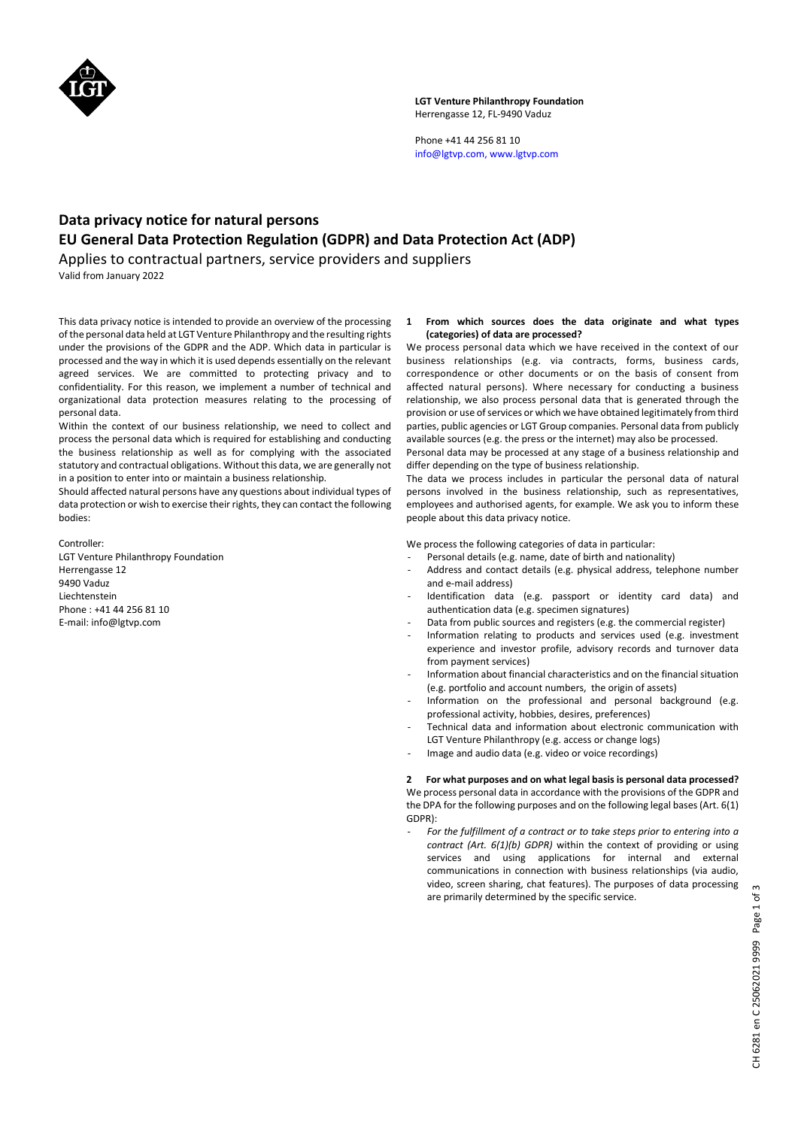

# **LGT Venture Philanthropy Foundation**  Herrengasse 12, FL-9490 Vaduz

Phone +41 44 256 81 10 info@lgtvp.com, www.lgtvp.com

# **Data privacy notice for natural persons EU General Data Protection Regulation (GDPR) and Data Protection Act (ADP)**

Applies to contractual partners, service providers and suppliers Valid from January 2022

This data privacy notice is intended to provide an overview of the processing of the personal data held at LGT Venture Philanthropy and the resulting rights under the provisions of the GDPR and the ADP. Which data in particular is processed and the way in which it is used depends essentially on the relevant agreed services. We are committed to protecting privacy and to confidentiality. For this reason, we implement a number of technical and organizational data protection measures relating to the processing of personal data.

Within the context of our business relationship, we need to collect and process the personal data which is required for establishing and conducting the business relationship as well as for complying with the associated statutory and contractual obligations. Without this data, we are generally not in a position to enter into or maintain a business relationship.

Should affected natural persons have any questions about individual types of data protection or wish to exercise their rights, they can contact the following bodies:

Controller:

LGT Venture Philanthropy Foundation Herrengasse 12 9490 Vaduz Liechtenstein Phone : +41 44 256 81 10 E-mail: info@lgtvp.com

# **1 From which sources does the data originate and what types (categories) of data are processed?**

We process personal data which we have received in the context of our business relationships (e.g. via contracts, forms, business cards, correspondence or other documents or on the basis of consent from affected natural persons). Where necessary for conducting a business relationship, we also process personal data that is generated through the provision or use of services or which we have obtained legitimately from third parties, public agencies or LGT Group companies. Personal data from publicly available sources (e.g. the press or the internet) may also be processed.

Personal data may be processed at any stage of a business relationship and differ depending on the type of business relationship.

The data we process includes in particular the personal data of natural persons involved in the business relationship, such as representatives, employees and authorised agents, for example. We ask you to inform these people about this data privacy notice.

We process the following categories of data in particular:

- Personal details (e.g. name, date of birth and nationality)
- Address and contact details (e.g. physical address, telephone number and e-mail address)
- Identification data (e.g. passport or identity card data) and authentication data (e.g. specimen signatures)
- Data from public sources and registers (e.g. the commercial register)
- Information relating to products and services used (e.g. investment experience and investor profile, advisory records and turnover data from payment services)
- Information about financial characteristics and on the financial situation (e.g. portfolio and account numbers, the origin of assets)
- Information on the professional and personal background (e.g. professional activity, hobbies, desires, preferences)
- Technical data and information about electronic communication with LGT Venture Philanthropy (e.g. access or change logs)
- Image and audio data (e.g. video or voice recordings)

# **2 For what purposes and on what legal basis is personal data processed?**

We process personal data in accordance with the provisions of the GDPR and the DPA for the following purposes and on the following legal bases (Art. 6(1) GDPR):

For the fulfillment of a contract or to take steps prior to entering into a *contract (Art. 6(1)(b) GDPR)* within the context of providing or using services and using applications for internal and external communications in connection with business relationships (via audio, video, screen sharing, chat features). The purposes of data processing are primarily determined by the specific service.

CH 6281 en C 25062021 9999 Page 1 of 3 CH 6281 en C 25062021 9999 Page 1 of 3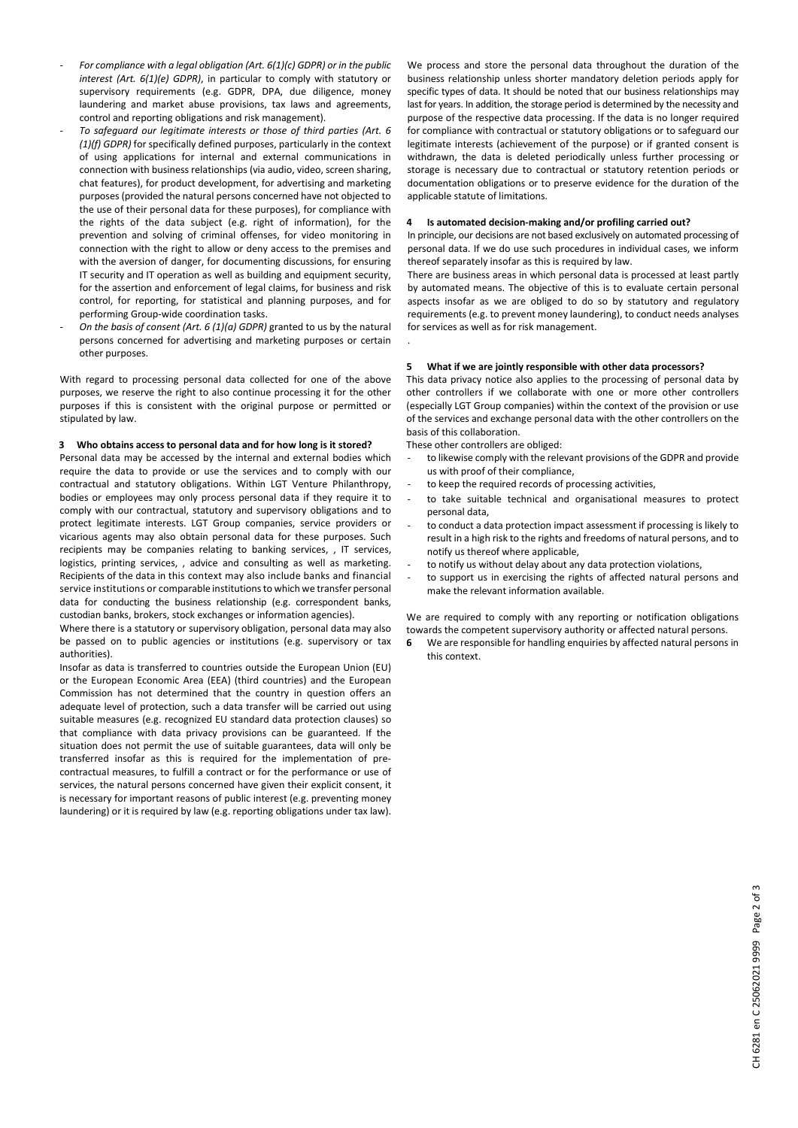- *For compliance with a legal obligation (Art. 6(1)(c) GDPR) or in the public interest (Art. 6(1)(e) GDPR)*, in particular to comply with statutory or supervisory requirements (e.g. GDPR, DPA, due diligence, money laundering and market abuse provisions, tax laws and agreements, control and reporting obligations and risk management).
- *To safeguard our legitimate interests or those of third parties (Art. 6 (1)(f) GDPR)* for specifically defined purposes, particularly in the context of using applications for internal and external communications in connection with business relationships (via audio, video, screen sharing, chat features), for product development, for advertising and marketing purposes (provided the natural persons concerned have not objected to the use of their personal data for these purposes), for compliance with the rights of the data subject (e.g. right of information), for the prevention and solving of criminal offenses, for video monitoring in connection with the right to allow or deny access to the premises and with the aversion of danger, for documenting discussions, for ensuring IT security and IT operation as well as building and equipment security, for the assertion and enforcement of legal claims, for business and risk control, for reporting, for statistical and planning purposes, and for performing Group-wide coordination tasks.
- *On the basis of consent (Art. 6 (1)(a) GDPR)* granted to us by the natural persons concerned for advertising and marketing purposes or certain other purposes.

With regard to processing personal data collected for one of the above purposes, we reserve the right to also continue processing it for the other purposes if this is consistent with the original purpose or permitted or stipulated by law.

## **3 Who obtains access to personal data and for how long is it stored?**

Personal data may be accessed by the internal and external bodies which require the data to provide or use the services and to comply with our contractual and statutory obligations. Within LGT Venture Philanthropy, bodies or employees may only process personal data if they require it to comply with our contractual, statutory and supervisory obligations and to protect legitimate interests. LGT Group companies, service providers or vicarious agents may also obtain personal data for these purposes. Such recipients may be companies relating to banking services, , IT services, logistics, printing services, , advice and consulting as well as marketing. Recipients of the data in this context may also include banks and financial service institutions or comparable institutions to which we transfer personal data for conducting the business relationship (e.g. correspondent banks, custodian banks, brokers, stock exchanges or information agencies).

Where there is a statutory or supervisory obligation, personal data may also be passed on to public agencies or institutions (e.g. supervisory or tax authorities).

Insofar as data is transferred to countries outside the European Union (EU) or the European Economic Area (EEA) (third countries) and the European Commission has not determined that the country in question offers an adequate level of protection, such a data transfer will be carried out using suitable measures (e.g. recognized EU standard data protection clauses) so that compliance with data privacy provisions can be guaranteed. If the situation does not permit the use of suitable guarantees, data will only be transferred insofar as this is required for the implementation of precontractual measures, to fulfill a contract or for the performance or use of services, the natural persons concerned have given their explicit consent, it is necessary for important reasons of public interest (e.g. preventing money laundering) or it is required by law (e.g. reporting obligations under tax law). We process and store the personal data throughout the duration of the business relationship unless shorter mandatory deletion periods apply for specific types of data. It should be noted that our business relationships may last for years. In addition, the storage period is determined by the necessity and purpose of the respective data processing. If the data is no longer required for compliance with contractual or statutory obligations or to safeguard our legitimate interests (achievement of the purpose) or if granted consent is withdrawn, the data is deleted periodically unless further processing or storage is necessary due to contractual or statutory retention periods or documentation obligations or to preserve evidence for the duration of the applicable statute of limitations.

## **4 Is automated decision-making and/or profiling carried out?**

In principle, our decisions are not based exclusively on automated processing of personal data. If we do use such procedures in individual cases, we inform thereof separately insofar as this is required by law.

There are business areas in which personal data is processed at least partly by automated means. The objective of this is to evaluate certain personal aspects insofar as we are obliged to do so by statutory and regulatory requirements (e.g. to prevent money laundering), to conduct needs analyses for services as well as for risk management.

## **5 What if we are jointly responsible with other data processors?**

This data privacy notice also applies to the processing of personal data by other controllers if we collaborate with one or more other controllers (especially LGT Group companies) within the context of the provision or use of the services and exchange personal data with the other controllers on the basis of this collaboration.

These other controllers are obliged:

.

- to likewise comply with the relevant provisions of the GDPR and provide us with proof of their compliance,
- to keep the required records of processing activities,
- to take suitable technical and organisational measures to protect personal data,
- to conduct a data protection impact assessment if processing is likely to result in a high risk to the rights and freedoms of natural persons, and to notify us thereof where applicable,
- to notify us without delay about any data protection violations,
- to support us in exercising the rights of affected natural persons and make the relevant information available.

We are required to comply with any reporting or notification obligations towards the competent supervisory authority or affected natural persons.

**6** We are responsible for handling enquiries by affected natural persons in this context.